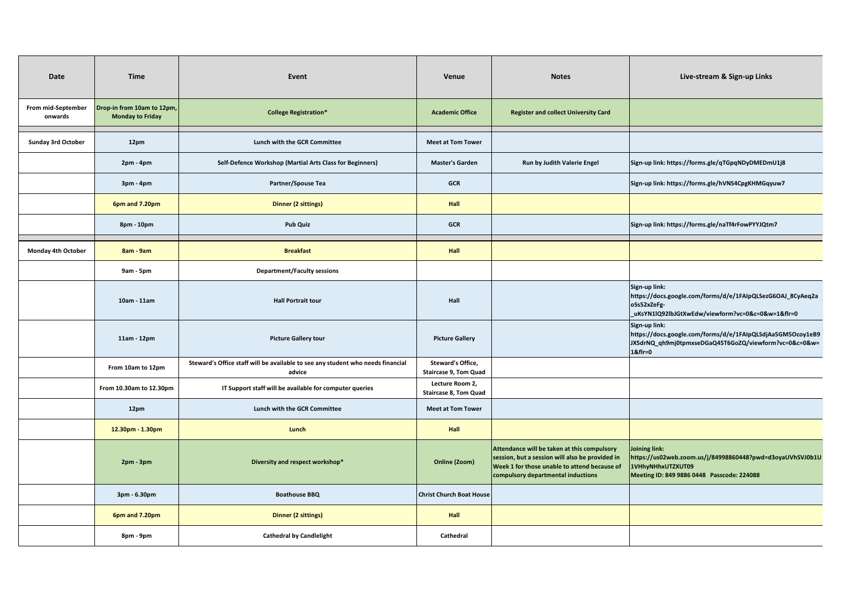| Date                          | <b>Time</b>                                           | Event                                                                                     | Venue                                             | <b>Notes</b>                                                                                                                                                                         | Live-stream & Sign-up Links                                                                                                                     |
|-------------------------------|-------------------------------------------------------|-------------------------------------------------------------------------------------------|---------------------------------------------------|--------------------------------------------------------------------------------------------------------------------------------------------------------------------------------------|-------------------------------------------------------------------------------------------------------------------------------------------------|
| From mid-September<br>onwards | Drop-in from 10am to 12pm,<br><b>Monday to Friday</b> | <b>College Registration*</b>                                                              | <b>Academic Office</b>                            | <b>Register and collect University Card</b>                                                                                                                                          |                                                                                                                                                 |
| <b>Sunday 3rd October</b>     | 12pm                                                  | Lunch with the GCR Committee                                                              | <b>Meet at Tom Tower</b>                          |                                                                                                                                                                                      |                                                                                                                                                 |
|                               | 2pm - 4pm                                             | Self-Defence Workshop (Martial Arts Class for Beginners)                                  | <b>Master's Garden</b>                            | Run by Judith Valerie Engel                                                                                                                                                          | Sign-up link: https://forms.gle/qTGpqNDyDMEDmU1j8                                                                                               |
|                               | 3pm - 4pm                                             | Partner/Spouse Tea                                                                        | <b>GCR</b>                                        |                                                                                                                                                                                      | Sign-up link: https://forms.gle/hVNS4CpgKHMGqyuw7                                                                                               |
|                               | 6pm and 7.20pm                                        | <b>Dinner (2 sittings)</b>                                                                | Hall                                              |                                                                                                                                                                                      |                                                                                                                                                 |
|                               | 8pm - 10pm                                            | <b>Pub Quiz</b>                                                                           | <b>GCR</b>                                        |                                                                                                                                                                                      | Sign-up link: https://forms.gle/naTf4rFowPYYJQtm7                                                                                               |
| Monday 4th October            | 8am - 9am                                             | <b>Breakfast</b>                                                                          | Hall                                              |                                                                                                                                                                                      |                                                                                                                                                 |
|                               | 9am - 5pm                                             | <b>Department/Faculty sessions</b>                                                        |                                                   |                                                                                                                                                                                      |                                                                                                                                                 |
|                               | 10am - 11am                                           | <b>Hall Portrait tour</b>                                                                 | Hall                                              |                                                                                                                                                                                      | Sign-up link:<br>https://docs.google.com/forms/d/e/1FAIpQLSezG6OAJ_8CyAeq2a<br>oSs52xZeFg-<br>_uKsYN1lQ92lbJGtXwEdw/viewform?vc=0&c=0&w=1&flr=0 |
|                               | 11am - 12pm                                           | <b>Picture Gallery tour</b>                                                               | <b>Picture Gallery</b>                            |                                                                                                                                                                                      | Sign-up link:<br>https://docs.google.com/forms/d/e/1FAIpQLSdjAa5GM5Ocoy1eB9<br>JX5drNQ_qh9mj0tpmxseDGaQ45T6GoZQ/viewform?vc=0&c=0&w=<br>1&flr=0 |
|                               | From 10am to 12pm                                     | Steward's Office staff will be available to see any student who needs financial<br>advice | Steward's Office,<br><b>Staircase 9, Tom Quad</b> |                                                                                                                                                                                      |                                                                                                                                                 |
|                               | From 10.30am to 12.30pm                               | IT Support staff will be available for computer queries                                   | Lecture Room 2,<br><b>Staircase 8, Tom Quad</b>   |                                                                                                                                                                                      |                                                                                                                                                 |
|                               | 12pm                                                  | Lunch with the GCR Committee                                                              | <b>Meet at Tom Tower</b>                          |                                                                                                                                                                                      |                                                                                                                                                 |
|                               | 12.30pm - 1.30pm                                      | Lunch                                                                                     | Hall                                              |                                                                                                                                                                                      |                                                                                                                                                 |
|                               | $2pm - 3pm$                                           | Diversity and respect workshop*                                                           | Online (Zoom)                                     | Attendance will be taken at this compulsory<br>session, but a session will also be provided in<br>Week 1 for those unable to attend because of<br>compulsory departmental inductions | Joining link:<br>https://us02web.zoom.us/j/84998860448?pwd=d3oyaUVhSVJ0b1U<br>1VHhyNHhxUTZXUT09<br>Meeting ID: 849 9886 0448 Passcode: 224088   |
|                               | 3pm - 6.30pm                                          | <b>Boathouse BBQ</b>                                                                      | <b>Christ Church Boat House</b>                   |                                                                                                                                                                                      |                                                                                                                                                 |
|                               | 6pm and 7.20pm                                        | <b>Dinner (2 sittings)</b>                                                                | Hall                                              |                                                                                                                                                                                      |                                                                                                                                                 |
|                               | 8pm - 9pm                                             | <b>Cathedral by Candlelight</b>                                                           | Cathedral                                         |                                                                                                                                                                                      |                                                                                                                                                 |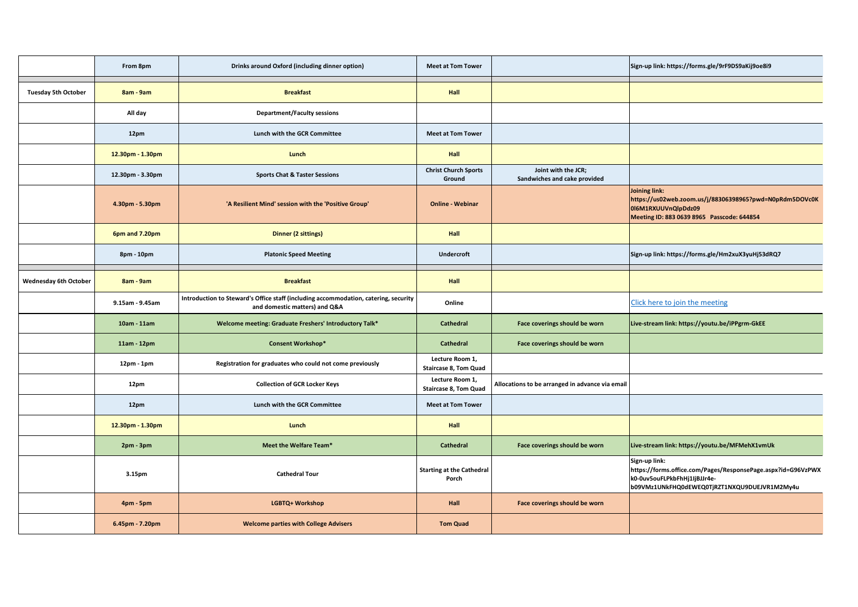|                              | From 8pm         | Drinks around Oxford (including dinner option)                                                                       | <b>Meet at Tom Tower</b>                        |                                                     | Sign-up link: https://forms.gle/9rF9DS9aKij9oe8i9                                                                                                             |
|------------------------------|------------------|----------------------------------------------------------------------------------------------------------------------|-------------------------------------------------|-----------------------------------------------------|---------------------------------------------------------------------------------------------------------------------------------------------------------------|
| <b>Tuesday 5th October</b>   | 8am - 9am        | <b>Breakfast</b>                                                                                                     | Hall                                            |                                                     |                                                                                                                                                               |
|                              | All day          | <b>Department/Faculty sessions</b>                                                                                   |                                                 |                                                     |                                                                                                                                                               |
|                              | 12pm             | Lunch with the GCR Committee                                                                                         | <b>Meet at Tom Tower</b>                        |                                                     |                                                                                                                                                               |
|                              | 12.30pm - 1.30pm | Lunch                                                                                                                | Hall                                            |                                                     |                                                                                                                                                               |
|                              | 12.30pm - 3.30pm | <b>Sports Chat &amp; Taster Sessions</b>                                                                             | <b>Christ Church Sports</b><br>Ground           | Joint with the JCR;<br>Sandwiches and cake provided |                                                                                                                                                               |
|                              | 4.30pm - 5.30pm  | 'A Resilient Mind' session with the 'Positive Group'                                                                 | <b>Online - Webinar</b>                         |                                                     | Joining link:<br>https://us02web.zoom.us/j/88306398965?pwd=N0pRdm5DOVc0K<br>016M1RXUUVnQlpDdz09<br>Meeting ID: 883 0639 8965 Passcode: 644854                 |
|                              | 6pm and 7.20pm   | <b>Dinner (2 sittings)</b>                                                                                           | Hall                                            |                                                     |                                                                                                                                                               |
|                              | 8pm - 10pm       | <b>Platonic Speed Meeting</b>                                                                                        | <b>Undercroft</b>                               |                                                     | Sign-up link: https://forms.gle/Hm2xuX3yuHj53dRQ7                                                                                                             |
| <b>Wednesday 6th October</b> | 8am - 9am        | <b>Breakfast</b>                                                                                                     | Hall                                            |                                                     |                                                                                                                                                               |
|                              | 9.15am - 9.45am  | Introduction to Steward's Office staff (including accommodation, catering, security<br>and domestic matters) and Q&A | Online                                          |                                                     | Click here to join the meeting                                                                                                                                |
|                              | 10am - 11am      | Welcome meeting: Graduate Freshers' Introductory Talk*                                                               | <b>Cathedral</b>                                | Face coverings should be worn                       | Live-stream link: https://youtu.be/iPPgrm-GkEE                                                                                                                |
|                              | 11am - 12pm      | <b>Consent Workshop*</b>                                                                                             | <b>Cathedral</b>                                | Face coverings should be worn                       |                                                                                                                                                               |
|                              | 12pm - 1pm       | Registration for graduates who could not come previously                                                             | Lecture Room 1,<br><b>Staircase 8, Tom Quad</b> |                                                     |                                                                                                                                                               |
|                              | 12pm             | <b>Collection of GCR Locker Keys</b>                                                                                 | Lecture Room 1,<br><b>Staircase 8, Tom Quad</b> | Allocations to be arranged in advance via email     |                                                                                                                                                               |
|                              | 12pm             | <b>Lunch with the GCR Committee</b>                                                                                  | <b>Meet at Tom Tower</b>                        |                                                     |                                                                                                                                                               |
|                              | 12.30pm - 1.30pm | Lunch                                                                                                                | Hall                                            |                                                     |                                                                                                                                                               |
|                              | $2pm - 3pm$      | Meet the Welfare Team*                                                                                               | <b>Cathedral</b>                                | Face coverings should be worn                       | Live-stream link: https://youtu.be/MFMehX1vmUk                                                                                                                |
|                              | 3.15pm           | <b>Cathedral Tour</b>                                                                                                | <b>Starting at the Cathedral</b><br>Porch       |                                                     | Sign-up link:<br>https://forms.office.com/Pages/ResponsePage.aspx?id=G96VzPWX<br>k0-0uv5ouFLPkbFhHj1IjBJJr4e-<br>b09VMz1UNkFHQ0dEWEQ0TjRZT1NXQU9DUEJVR1M2My4u |
|                              | 4pm - 5pm        | LGBTQ+ Workshop                                                                                                      | Hall                                            | Face coverings should be worn                       |                                                                                                                                                               |
|                              | 6.45pm - 7.20pm  | <b>Welcome parties with College Advisers</b>                                                                         | <b>Tom Quad</b>                                 |                                                     |                                                                                                                                                               |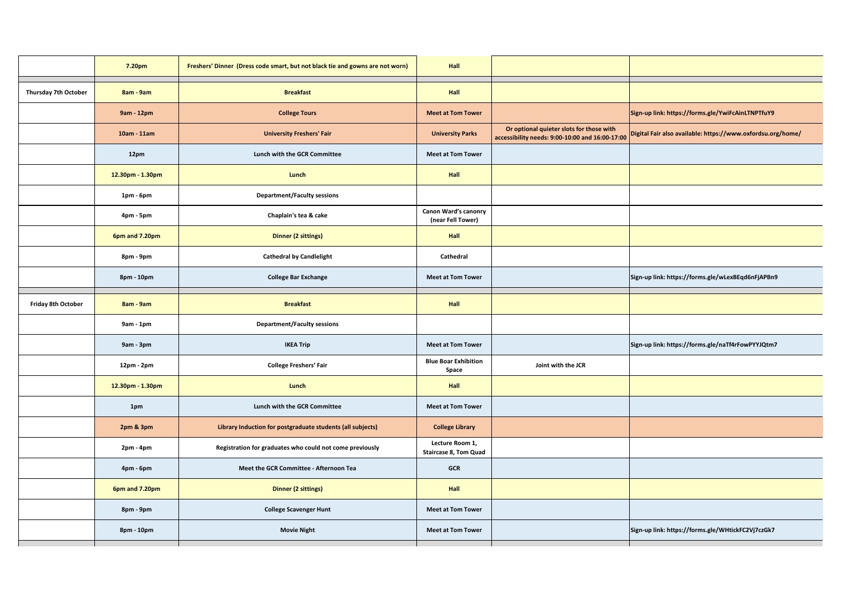|                      | 7.20pm           | Freshers' Dinner (Dress code smart, but not black tie and gowns are not worn) | Hall                                            |                                                                                             |                                                             |
|----------------------|------------------|-------------------------------------------------------------------------------|-------------------------------------------------|---------------------------------------------------------------------------------------------|-------------------------------------------------------------|
| Thursday 7th October | 8am - 9am        | <b>Breakfast</b>                                                              | Hall                                            |                                                                                             |                                                             |
|                      | 9am - 12pm       | <b>College Tours</b>                                                          | <b>Meet at Tom Tower</b>                        |                                                                                             | Sign-up link: https://forms.gle/YwiFcAinLTNPTfuY9           |
|                      | 10am - 11am      | <b>University Freshers' Fair</b>                                              | <b>University Parks</b>                         | Or optional quieter slots for those with<br>accessibility needs: 9:00-10:00 and 16:00-17:00 | Digital Fair also available: https://www.oxfordsu.org/home/ |
|                      | 12pm             | Lunch with the GCR Committee                                                  | <b>Meet at Tom Tower</b>                        |                                                                                             |                                                             |
|                      | 12.30pm - 1.30pm | Lunch                                                                         | Hall                                            |                                                                                             |                                                             |
|                      | $1pm - 6pm$      | <b>Department/Faculty sessions</b>                                            |                                                 |                                                                                             |                                                             |
|                      | 4pm - 5pm        | Chaplain's tea & cake                                                         | Canon Ward's canonry<br>(near Fell Tower)       |                                                                                             |                                                             |
|                      | 6pm and 7.20pm   | <b>Dinner (2 sittings)</b>                                                    | Hall                                            |                                                                                             |                                                             |
|                      | 8pm - 9pm        | <b>Cathedral by Candlelight</b>                                               | Cathedral                                       |                                                                                             |                                                             |
|                      | 8pm - 10pm       | <b>College Bar Exchange</b>                                                   | <b>Meet at Tom Tower</b>                        |                                                                                             | Sign-up link: https://forms.gle/wLexBEqd6nFjAPBn9           |
| Friday 8th October   | 8am - 9am        | <b>Breakfast</b>                                                              | Hall                                            |                                                                                             |                                                             |
|                      | $9am - 1pm$      | <b>Department/Faculty sessions</b>                                            |                                                 |                                                                                             |                                                             |
|                      | 9am - 3pm        | <b>IKEA Trip</b>                                                              | <b>Meet at Tom Tower</b>                        |                                                                                             | Sign-up link: https://forms.gle/naTf4rFowPYYJQtm7           |
|                      | 12pm - 2pm       | <b>College Freshers' Fair</b>                                                 | <b>Blue Boar Exhibition</b><br>Space            | Joint with the JCR                                                                          |                                                             |
|                      | 12.30pm - 1.30pm | Lunch                                                                         | Hall                                            |                                                                                             |                                                             |
|                      | 1pm              | Lunch with the GCR Committee                                                  | <b>Meet at Tom Tower</b>                        |                                                                                             |                                                             |
|                      | 2pm & 3pm        | Library Induction for postgraduate students (all subjects)                    | <b>College Library</b>                          |                                                                                             |                                                             |
|                      | 2pm - 4pm        | Registration for graduates who could not come previously                      | Lecture Room 1,<br><b>Staircase 8, Tom Quad</b> |                                                                                             |                                                             |
|                      | 4pm - 6pm        | Meet the GCR Committee - Afternoon Tea                                        | GCR                                             |                                                                                             |                                                             |
|                      | 6pm and 7.20pm   | <b>Dinner (2 sittings)</b>                                                    | Hall                                            |                                                                                             |                                                             |
|                      | 8pm - 9pm        | <b>College Scavenger Hunt</b>                                                 | <b>Meet at Tom Tower</b>                        |                                                                                             |                                                             |
|                      | 8pm - 10pm       | <b>Movie Night</b>                                                            | <b>Meet at Tom Tower</b>                        |                                                                                             | Sign-up link: https://forms.gle/WHtickFC2Vj7czGk7           |
|                      |                  |                                                                               |                                                 |                                                                                             |                                                             |